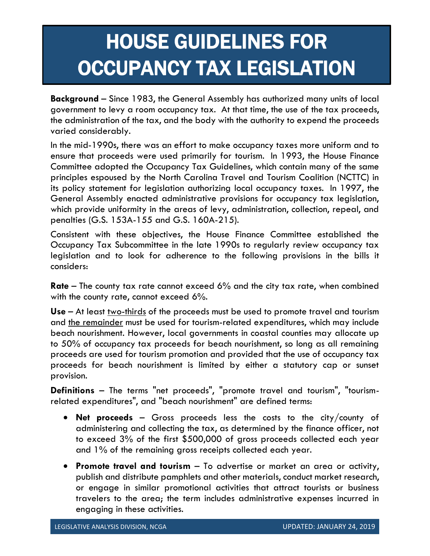## HOUSE GUIDELINES FOR OCCUPANCY TAX LEGISLATION

**Background** – Since 1983, the General Assembly has authorized many units of local government to levy a room occupancy tax. At that time, the use of the tax proceeds, the administration of the tax, and the body with the authority to expend the proceeds varied considerably.

In the mid-1990s, there was an effort to make occupancy taxes more uniform and to ensure that proceeds were used primarily for tourism. In 1993, the House Finance Committee adopted the Occupancy Tax Guidelines, which contain many of the same principles espoused by the North Carolina Travel and Tourism Coalition (NCTTC) in its policy statement for legislation authorizing local occupancy taxes. In 1997, the General Assembly enacted administrative provisions for occupancy tax legislation, which provide uniformity in the areas of levy, administration, collection, repeal, and penalties (G.S. 153A-155 and G.S. 160A-215).

Consistent with these objectives, the House Finance Committee established the Occupancy Tax Subcommittee in the late 1990s to regularly review occupancy tax legislation and to look for adherence to the following provisions in the bills it considers:

**Rate** – The county tax rate cannot exceed 6% and the city tax rate, when combined with the county rate, cannot exceed 6%.

Use – At least two-thirds of the proceeds must be used to promote travel and tourism and the remainder must be used for tourism-related expenditures, which may include beach nourishment. However, local governments in coastal counties may allocate up to 50% of occupancy tax proceeds for beach nourishment, so long as all remaining proceeds are used for tourism promotion and provided that the use of occupancy tax proceeds for beach nourishment is limited by either a statutory cap or sunset provision.

**Definitions** – The terms "net proceeds", "promote travel and tourism", "tourismrelated expenditures", and "beach nourishment" are defined terms:

- **Net proceeds**  Gross proceeds less the costs to the city/county of administering and collecting the tax, as determined by the finance officer, not to exceed 3% of the first \$500,000 of gross proceeds collected each year and 1% of the remaining gross receipts collected each year.
- **Promote travel and tourism** To advertise or market an area or activity, publish and distribute pamphlets and other materials, conduct market research, or engage in similar promotional activities that attract tourists or business travelers to the area; the term includes administrative expenses incurred in engaging in these activities.